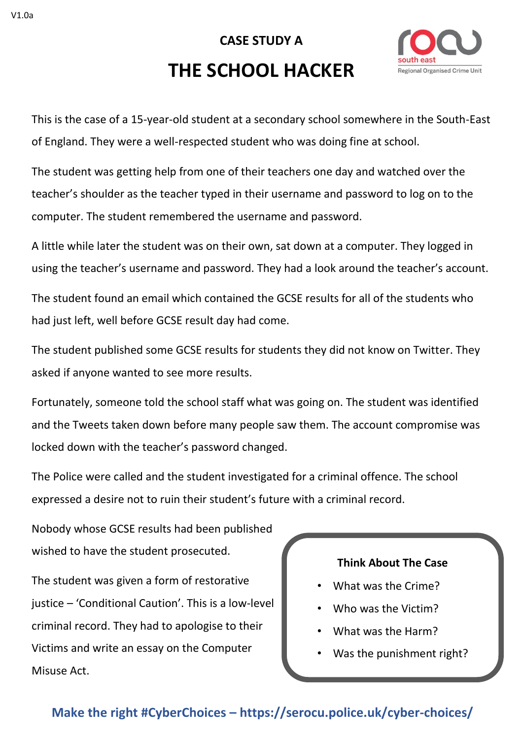# **CASE STUDY A THE SCHOOL HACKER**



This is the case of a 15-year-old student at a secondary school somewhere in the South-East of England. They were a well-respected student who was doing fine at school.

The student was getting help from one of their teachers one day and watched over the teacher's shoulder as the teacher typed in their username and password to log on to the computer. The student remembered the username and password.

A little while later the student was on their own, sat down at a computer. They logged in using the teacher's username and password. They had a look around the teacher's account.

The student found an email which contained the GCSE results for all of the students who had just left, well before GCSE result day had come.

The student published some GCSE results for students they did not know on Twitter. They asked if anyone wanted to see more results.

Fortunately, someone told the school staff what was going on. The student was identified and the Tweets taken down before many people saw them. The account compromise was locked down with the teacher's password changed.

The Police were called and the student investigated for a criminal offence. The school expressed a desire not to ruin their student's future with a criminal record.

Nobody whose GCSE results had been published wished to have the student prosecuted. The student was given a form of restorative justice – 'Conditional Caution'. This is a low-level criminal record. They had to apologise to their Victims and write an essay on the Computer Misuse Act.

### **Think About The Case**

- What was the Crime?
- Who was the Victim?
- What was the Harm?
- Was the punishment right?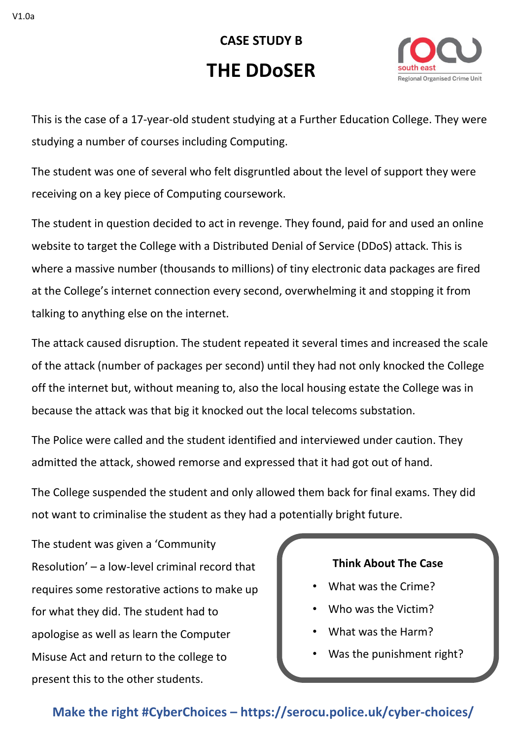**CASE STUDY B THE DDoSER**



This is the case of a 17-year-old student studying at a Further Education College. They were studying a number of courses including Computing.

The student was one of several who felt disgruntled about the level of support they were receiving on a key piece of Computing coursework.

The student in question decided to act in revenge. They found, paid for and used an online website to target the College with a Distributed Denial of Service (DDoS) attack. This is where a massive number (thousands to millions) of tiny electronic data packages are fired at the College's internet connection every second, overwhelming it and stopping it from talking to anything else on the internet.

The attack caused disruption. The student repeated it several times and increased the scale of the attack (number of packages per second) until they had not only knocked the College off the internet but, without meaning to, also the local housing estate the College was in because the attack was that big it knocked out the local telecoms substation.

The Police were called and the student identified and interviewed under caution. They admitted the attack, showed remorse and expressed that it had got out of hand.

The College suspended the student and only allowed them back for final exams. They did not want to criminalise the student as they had a potentially bright future.

The student was given a 'Community Resolution' – a low-level criminal record that requires some restorative actions to make up for what they did. The student had to apologise as well as learn the Computer Misuse Act and return to the college to present this to the other students.

### **Think About The Case**

- What was the Crime?
- Who was the Victim?
- What was the Harm?
- Was the punishment right?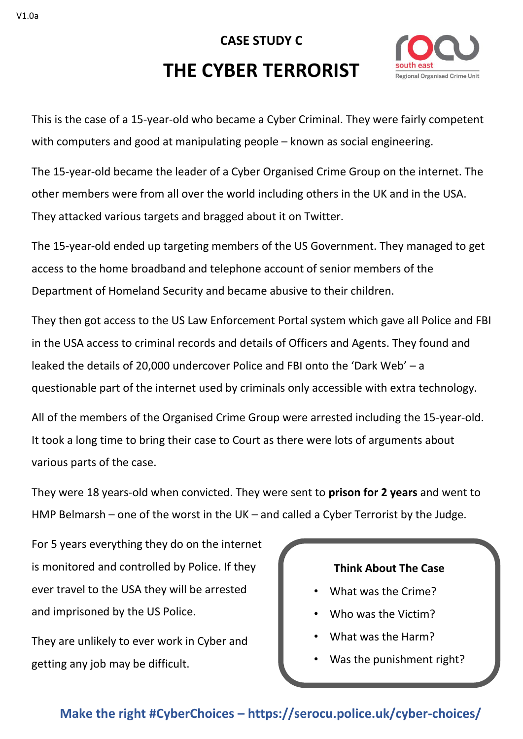## **CASE STUDY C THE CYBER TERRORIST**



This is the case of a 15-year-old who became a Cyber Criminal. They were fairly competent with computers and good at manipulating people – known as social engineering.

The 15-year-old became the leader of a Cyber Organised Crime Group on the internet. The other members were from all over the world including others in the UK and in the USA. They attacked various targets and bragged about it on Twitter.

The 15-year-old ended up targeting members of the US Government. They managed to get access to the home broadband and telephone account of senior members of the Department of Homeland Security and became abusive to their children.

They then got access to the US Law Enforcement Portal system which gave all Police and FBI in the USA access to criminal records and details of Officers and Agents. They found and leaked the details of 20,000 undercover Police and FBI onto the 'Dark Web' – a questionable part of the internet used by criminals only accessible with extra technology.

All of the members of the Organised Crime Group were arrested including the 15-year-old. It took a long time to bring their case to Court as there were lots of arguments about various parts of the case.

They were 18 years-old when convicted. They were sent to **prison for 2 years** and went to HMP Belmarsh – one of the worst in the UK – and called a Cyber Terrorist by the Judge.

For 5 years everything they do on the internet is monitored and controlled by Police. If they ever travel to the USA they will be arrested and imprisoned by the US Police.

They are unlikely to ever work in Cyber and getting any job may be difficult.

## **Think About The Case**

- What was the Crime?
- Who was the Victim?
- What was the Harm?
- Was the punishment right?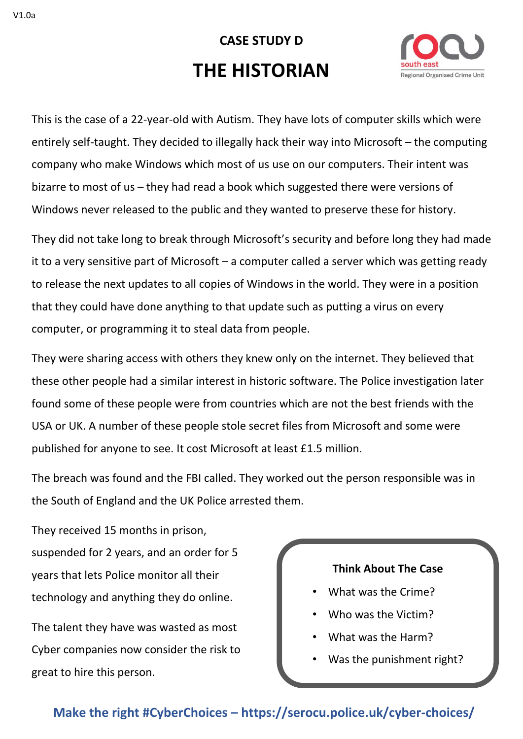# **CASE STUDY D THE HISTORIAN**



This is the case of a 22-year-old with Autism. They have lots of computer skills which were entirely self-taught. They decided to illegally hack their way into Microsoft – the computing company who make Windows which most of us use on our computers. Their intent was bizarre to most of us – they had read a book which suggested there were versions of Windows never released to the public and they wanted to preserve these for history.

They did not take long to break through Microsoft's security and before long they had made it to a very sensitive part of Microsoft – a computer called a server which was getting ready to release the next updates to all copies of Windows in the world. They were in a position that they could have done anything to that update such as putting a virus on every computer, or programming it to steal data from people.

They were sharing access with others they knew only on the internet. They believed that these other people had a similar interest in historic software. The Police investigation later found some of these people were from countries which are not the best friends with the USA or UK. A number of these people stole secret files from Microsoft and some were published for anyone to see. It cost Microsoft at least £1.5 million.

The breach was found and the FBI called. They worked out the person responsible was in the South of England and the UK Police arrested them.

They received 15 months in prison, suspended for 2 years, and an order for 5 years that lets Police monitor all their technology and anything they do online.

The talent they have was wasted as most Cyber companies now consider the risk to great to hire this person.

### **Think About The Case**

- What was the Crime?
- Who was the Victim?
- What was the Harm?
- Was the punishment right?